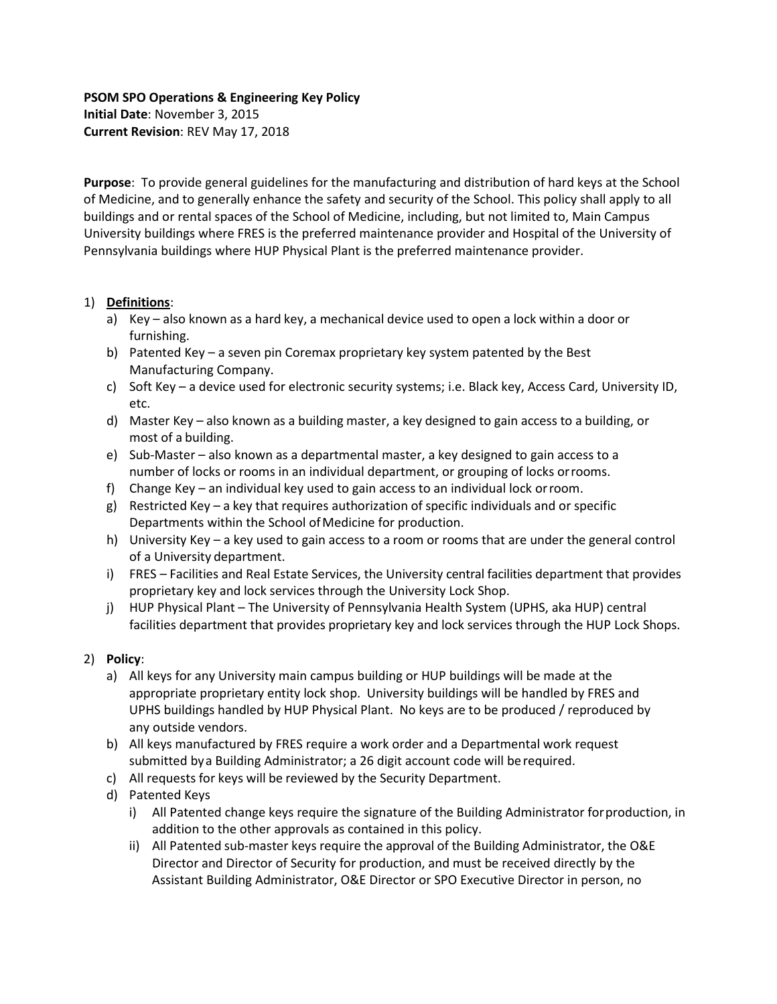## **PSOM SPO Operations & Engineering Key Policy**

**Initial Date**: November 3, 2015 **Current Revision**: REV May 17, 2018

**Purpose**: To provide general guidelines for the manufacturing and distribution of hard keys at the School of Medicine, and to generally enhance the safety and security of the School. This policy shall apply to all buildings and or rental spaces of the School of Medicine, including, but not limited to, Main Campus University buildings where FRES is the preferred maintenance provider and Hospital of the University of Pennsylvania buildings where HUP Physical Plant is the preferred maintenance provider.

## 1) **Definitions**:

- a) Key also known as a hard key, a mechanical device used to open a lock within a door or furnishing.
- b) Patented Key a seven pin Coremax proprietary key system patented by the Best Manufacturing Company.
- c) Soft Key a device used for electronic security systems; i.e. Black key, Access Card, University ID, etc.
- d) Master Key also known as a building master, a key designed to gain access to a building, or most of a building.
- e) Sub‐Master also known as a departmental master, a key designed to gain access to a number of locks or rooms in an individual department, or grouping of locks orrooms.
- f) Change Key an individual key used to gain access to an individual lock orroom.
- g) Restricted Key a key that requires authorization of specific individuals and or specific Departments within the School of Medicine for production.
- h) University Key a key used to gain access to a room or rooms that are under the general control of a University department.
- i) FRES Facilities and Real Estate Services, the University central facilities department that provides proprietary key and lock services through the University Lock Shop.
- j) HUP Physical Plant The University of Pennsylvania Health System (UPHS, aka HUP) central facilities department that provides proprietary key and lock services through the HUP Lock Shops.

## 2) **Policy**:

- a) All keys for any University main campus building or HUP buildings will be made at the appropriate proprietary entity lock shop. University buildings will be handled by FRES and UPHS buildings handled by HUP Physical Plant. No keys are to be produced / reproduced by any outside vendors.
- b) All keys manufactured by FRES require a work order and a Departmental work request submitted bya Building Administrator; a 26 digit account code will berequired.
- c) All requests for keys will be reviewed by the Security Department.
- d) Patented Keys
	- i) All Patented change keys require the signature of the Building Administrator forproduction, in addition to the other approvals as contained in this policy.
	- ii) All Patented sub‐master keys require the approval of the Building Administrator, the O&E Director and Director of Security for production, and must be received directly by the Assistant Building Administrator, O&E Director or SPO Executive Director in person, no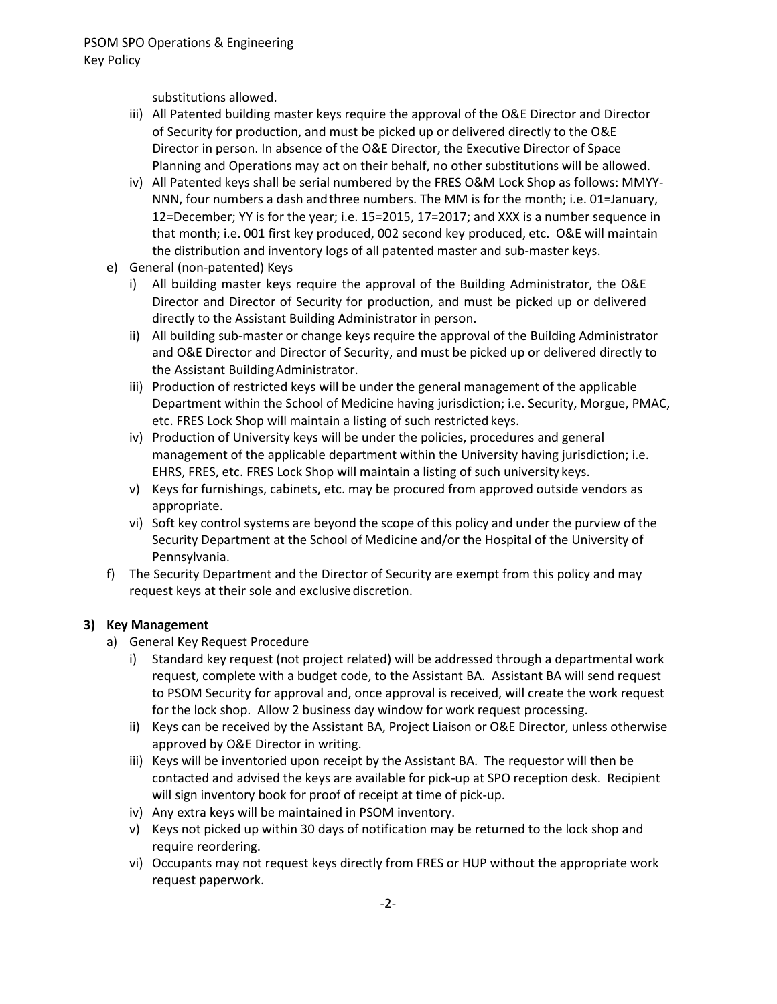substitutions allowed.

- iii) All Patented building master keys require the approval of the O&E Director and Director of Security for production, and must be picked up or delivered directly to the O&E Director in person. In absence of the O&E Director, the Executive Director of Space Planning and Operations may act on their behalf, no other substitutions will be allowed.
- iv) All Patented keys shall be serial numbered by the FRES O&M Lock Shop as follows: MMYY‐ NNN, four numbers a dash andthree numbers. The MM is for the month; i.e. 01=January, 12=December; YY is for the year; i.e. 15=2015, 17=2017; and XXX is a number sequence in that month; i.e. 001 first key produced, 002 second key produced, etc. O&E will maintain the distribution and inventory logs of all patented master and sub-master keys.
- e) General (non-patented) Keys
	- i) All building master keys require the approval of the Building Administrator, the O&E Director and Director of Security for production, and must be picked up or delivered directly to the Assistant Building Administrator in person.
	- ii) All building sub‐master or change keys require the approval of the Building Administrator and O&E Director and Director of Security, and must be picked up or delivered directly to the Assistant BuildingAdministrator.
	- iii) Production of restricted keys will be under the general management of the applicable Department within the School of Medicine having jurisdiction; i.e. Security, Morgue, PMAC, etc. FRES Lock Shop will maintain a listing of such restricted keys.
	- iv) Production of University keys will be under the policies, procedures and general management of the applicable department within the University having jurisdiction; i.e. EHRS, FRES, etc. FRES Lock Shop will maintain a listing of such university keys.
	- v) Keys for furnishings, cabinets, etc. may be procured from approved outside vendors as appropriate.
	- vi) Soft key control systems are beyond the scope of this policy and under the purview of the Security Department at the School of Medicine and/or the Hospital of the University of Pennsylvania.
- f) The Security Department and the Director of Security are exempt from this policy and may request keys at their sole and exclusive discretion.

## **3) Key Management**

- a) General Key Request Procedure
	- i) Standard key request (not project related) will be addressed through a departmental work request, complete with a budget code, to the Assistant BA. Assistant BA will send request to PSOM Security for approval and, once approval is received, will create the work request for the lock shop. Allow 2 business day window for work request processing.
	- ii) Keys can be received by the Assistant BA, Project Liaison or O&E Director, unless otherwise approved by O&E Director in writing.
	- iii) Keys will be inventoried upon receipt by the Assistant BA. The requestor will then be contacted and advised the keys are available for pick-up at SPO reception desk. Recipient will sign inventory book for proof of receipt at time of pick-up.
	- iv) Any extra keys will be maintained in PSOM inventory.
	- v) Keys not picked up within 30 days of notification may be returned to the lock shop and require reordering.
	- vi) Occupants may not request keys directly from FRES or HUP without the appropriate work request paperwork.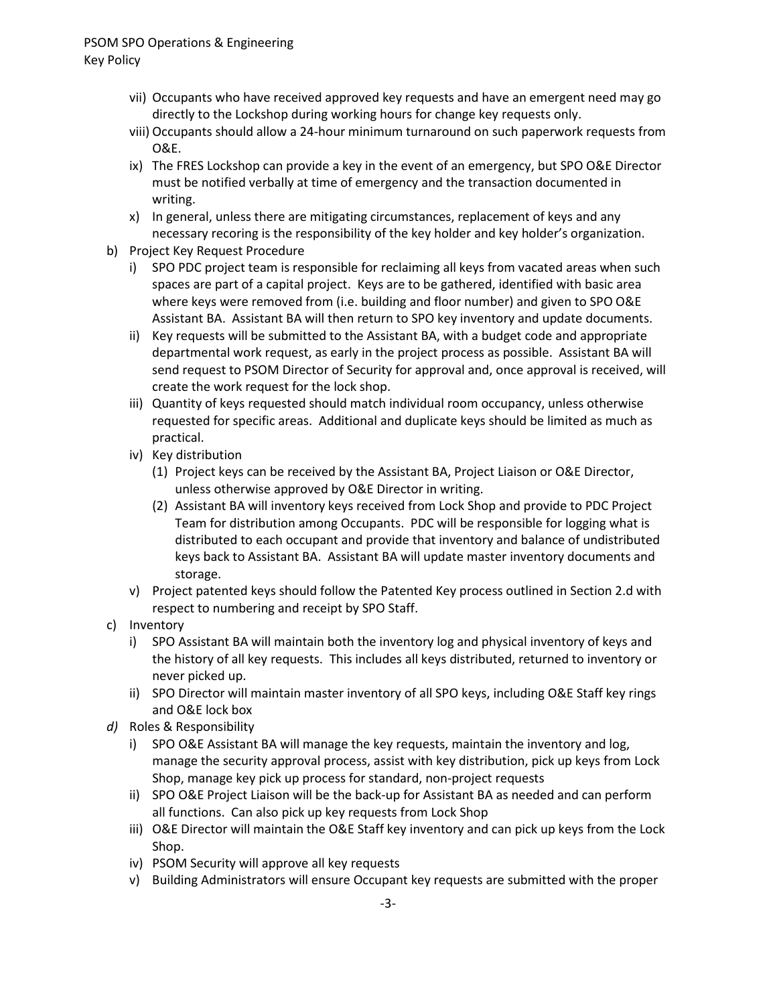- vii) Occupants who have received approved key requests and have an emergent need may go directly to the Lockshop during working hours for change key requests only.
- viii) Occupants should allow a 24-hour minimum turnaround on such paperwork requests from O&E.
- ix) The FRES Lockshop can provide a key in the event of an emergency, but SPO O&E Director must be notified verbally at time of emergency and the transaction documented in writing.
- x) In general, unless there are mitigating circumstances, replacement of keys and any necessary recoring is the responsibility of the key holder and key holder's organization.
- b) Project Key Request Procedure
	- i) SPO PDC project team is responsible for reclaiming all keys from vacated areas when such spaces are part of a capital project. Keys are to be gathered, identified with basic area where keys were removed from (i.e. building and floor number) and given to SPO O&E Assistant BA. Assistant BA will then return to SPO key inventory and update documents.
	- ii) Key requests will be submitted to the Assistant BA, with a budget code and appropriate departmental work request, as early in the project process as possible. Assistant BA will send request to PSOM Director of Security for approval and, once approval is received, will create the work request for the lock shop.
	- iii) Quantity of keys requested should match individual room occupancy, unless otherwise requested for specific areas. Additional and duplicate keys should be limited as much as practical.
	- iv) Key distribution
		- (1) Project keys can be received by the Assistant BA, Project Liaison or O&E Director, unless otherwise approved by O&E Director in writing.
		- (2) Assistant BA will inventory keys received from Lock Shop and provide to PDC Project Team for distribution among Occupants. PDC will be responsible for logging what is distributed to each occupant and provide that inventory and balance of undistributed keys back to Assistant BA. Assistant BA will update master inventory documents and storage.
	- v) Project patented keys should follow the Patented Key process outlined in Section 2.d with respect to numbering and receipt by SPO Staff.
- c) Inventory
	- i) SPO Assistant BA will maintain both the inventory log and physical inventory of keys and the history of all key requests. This includes all keys distributed, returned to inventory or never picked up.
	- ii) SPO Director will maintain master inventory of all SPO keys, including O&E Staff key rings and O&E lock box
- *d)* Roles & Responsibility
	- i) SPO O&E Assistant BA will manage the key requests, maintain the inventory and log, manage the security approval process, assist with key distribution, pick up keys from Lock Shop, manage key pick up process for standard, non-project requests
	- ii) SPO O&E Project Liaison will be the back-up for Assistant BA as needed and can perform all functions. Can also pick up key requests from Lock Shop
	- iii) O&E Director will maintain the O&E Staff key inventory and can pick up keys from the Lock Shop.
	- iv) PSOM Security will approve all key requests
	- v) Building Administrators will ensure Occupant key requests are submitted with the proper